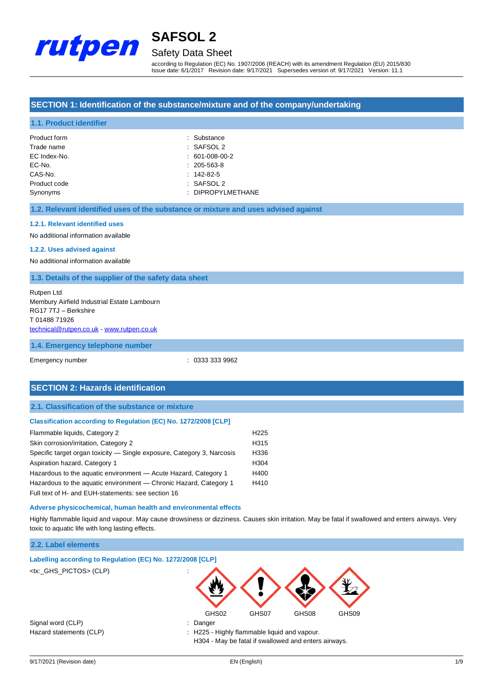

## Safety Data Sheet

according to Regulation (EC) No. 1907/2006 (REACH) with its amendment Regulation (EU) 2015/830 Issue date: 6/1/2017 Revision date: 9/17/2021 Supersedes version of: 9/17/2021 Version: 11.1

## **SECTION 1: Identification of the substance/mixture and of the company/undertaking**

### **1.1. Product identifier**

| Product form | : Substance       |
|--------------|-------------------|
| Trade name   | $:$ SAFSOL 2      |
| EC Index-No. | $: 601-008-00-2$  |
| EC-No.       | $: 205 - 563 - 8$ |
| CAS-No.      | $: 142 - 82 - 5$  |
| Product code | $:$ SAFSOL 2      |
| Synonyms     | : DIPROPYLMETHANE |

#### **1.2. Relevant identified uses of the substance or mixture and uses advised against**

#### **1.2.1. Relevant identified uses**

No additional information available

#### **1.2.2. Uses advised against**

No additional information available

#### **1.3. Details of the supplier of the safety data sheet**

Rutpen Ltd Membury Airfield Industrial Estate Lambourn RG17 7TJ – Berkshire T 01488 71926 [technical@rutpen.co.uk](mailto:technical@rutpen.co.uk) - [www.rutpen.co.uk](http://www.rutpen.co.uk/)

#### **1.4. Emergency telephone number**

Emergency number : 0333 333 9962

## **SECTION 2: Hazards identification**

### **2.1. Classification of the substance or mixture**

#### **Classification according to Regulation (EC) No. 1272/2008 [CLP]**

| Flammable liquids, Category 2                                          | H <sub>225</sub> |
|------------------------------------------------------------------------|------------------|
| Skin corrosion/irritation, Category 2                                  | H315             |
| Specific target organ toxicity — Single exposure, Category 3, Narcosis | H336             |
| Aspiration hazard, Category 1                                          | H <sub>304</sub> |
| Hazardous to the aquatic environment - Acute Hazard, Category 1        | H400             |
| Hazardous to the aquatic environment — Chronic Hazard, Category 1      | H410             |
| Full text of H- and EUH-statements: see section 16                     |                  |

#### **Adverse physicochemical, human health and environmental effects**

Highly flammable liquid and vapour. May cause drowsiness or dizziness. Causes skin irritation. May be fatal if swallowed and enters airways. Very toxic to aquatic life with long lasting effects.

### **2.2. Label elements**

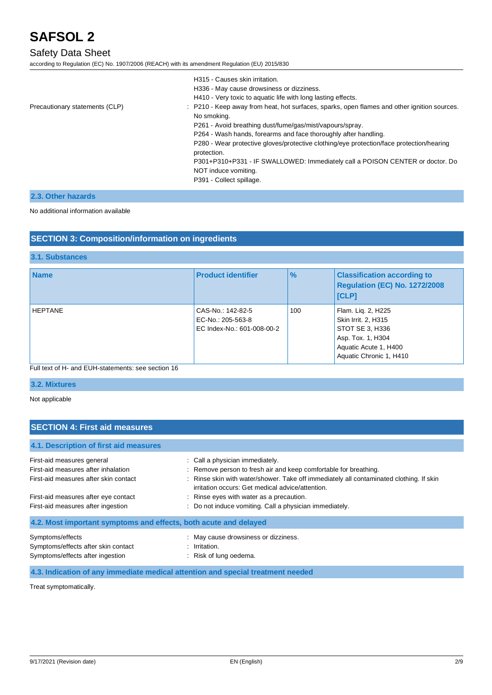## Safety Data Sheet

according to Regulation (EC) No. 1907/2006 (REACH) with its amendment Regulation (EU) 2015/830

|                                | H315 - Causes skin irritation.<br>H336 - May cause drowsiness or dizziness.<br>H410 - Very toxic to aquatic life with long lasting effects. |
|--------------------------------|---------------------------------------------------------------------------------------------------------------------------------------------|
| Precautionary statements (CLP) | : P210 - Keep away from heat, hot surfaces, sparks, open flames and other ignition sources.<br>No smoking.                                  |
|                                | P261 - Avoid breathing dust/fume/gas/mist/vapours/spray.                                                                                    |
|                                | P264 - Wash hands, forearms and face thoroughly after handling.                                                                             |
|                                | P280 - Wear protective gloves/protective clothing/eye protection/face protection/hearing<br>protection.                                     |
|                                | P301+P310+P331 - IF SWALLOWED: Immediately call a POISON CENTER or doctor. Do                                                               |
|                                | NOT induce vomiting.                                                                                                                        |
|                                | P391 - Collect spillage.                                                                                                                    |

## **2.3. Other hazards**

#### No additional information available

### **SECTION 3: Composition/information on ingredients**

## **3.1. Substances**

| <b>Name</b>    | <b>Product identifier</b>                                            | $\frac{9}{6}$ | <b>Classification according to</b><br>Regulation (EC) No. 1272/2008<br><b>ICLPI</b>                                                   |
|----------------|----------------------------------------------------------------------|---------------|---------------------------------------------------------------------------------------------------------------------------------------|
| <b>HEPTANE</b> | CAS-No.: 142-82-5<br>EC-No.: 205-563-8<br>EC Index-No.: 601-008-00-2 | 100           | Flam. Lig. 2, H225<br>Skin Irrit. 2, H315<br>STOT SE 3, H336<br>Asp. Tox. 1, H304<br>Aquatic Acute 1, H400<br>Aquatic Chronic 1, H410 |

### Full text of H- and EUH-statements: see section 16

## **3.2. Mixtures**

Not applicable

## **SECTION 4: First aid measures**

## **4.1. Description of first aid measures**

| First-aid measures general                                                 | : Call a physician immediately.                                                                                                                         |
|----------------------------------------------------------------------------|---------------------------------------------------------------------------------------------------------------------------------------------------------|
| First-aid measures after inhalation                                        | : Remove person to fresh air and keep comfortable for breathing.                                                                                        |
| First-aid measures after skin contact                                      | : Rinse skin with water/shower. Take off immediately all contaminated clothing. If skin                                                                 |
| First-aid measures after eye contact<br>First-aid measures after ingestion | irritation occurs: Get medical advice/attention.<br>: Rinse eyes with water as a precaution.<br>: Do not induce vomiting. Call a physician immediately. |
| 4.2. Most important symptoms and effects, both acute and delayed           |                                                                                                                                                         |
| Symptoms/effects                                                           | May cause drowsiness or dizziness.                                                                                                                      |
| Symptoms/effects after skin contact                                        | Irritation.                                                                                                                                             |
| Symptoms/effects after ingestion                                           | Risk of lung oedema.                                                                                                                                    |

**4.3. Indication of any immediate medical attention and special treatment needed**

Treat symptomatically.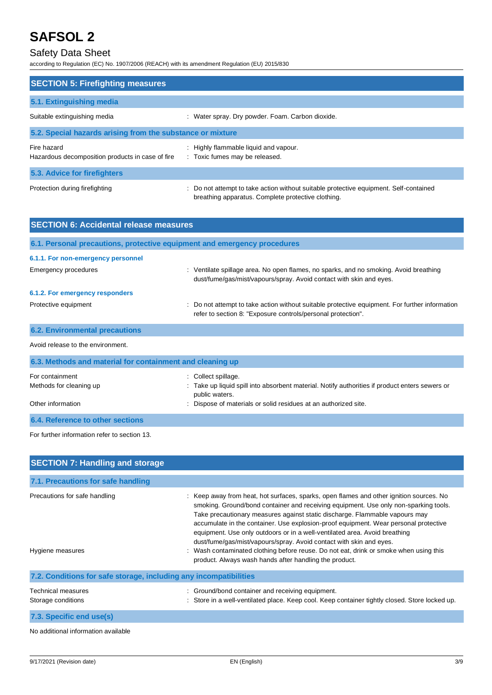## Safety Data Sheet

according to Regulation (EC) No. 1907/2006 (REACH) with its amendment Regulation (EU) 2015/830

| <b>SECTION 5: Firefighting measures</b>                         |                                                                                                                                             |  |  |
|-----------------------------------------------------------------|---------------------------------------------------------------------------------------------------------------------------------------------|--|--|
|                                                                 |                                                                                                                                             |  |  |
| 5.1. Extinguishing media                                        |                                                                                                                                             |  |  |
| Suitable extinguishing media                                    | : Water spray. Dry powder. Foam. Carbon dioxide.                                                                                            |  |  |
| 5.2. Special hazards arising from the substance or mixture      |                                                                                                                                             |  |  |
| Fire hazard<br>Hazardous decomposition products in case of fire | : Highly flammable liquid and vapour.<br>: Toxic fumes may be released.                                                                     |  |  |
| 5.3. Advice for firefighters                                    |                                                                                                                                             |  |  |
| Protection during firefighting                                  | : Do not attempt to take action without suitable protective equipment. Self-contained<br>breathing apparatus. Complete protective clothing. |  |  |

| <b>SECTION 6: Accidental release measures</b>                            |                                                                                                                                                                |  |  |
|--------------------------------------------------------------------------|----------------------------------------------------------------------------------------------------------------------------------------------------------------|--|--|
| 6.1. Personal precautions, protective equipment and emergency procedures |                                                                                                                                                                |  |  |
| 6.1.1. For non-emergency personnel                                       |                                                                                                                                                                |  |  |
| Emergency procedures                                                     | : Ventilate spillage area. No open flames, no sparks, and no smoking. Avoid breathing<br>dust/fume/gas/mist/vapours/spray. Avoid contact with skin and eyes.   |  |  |
| 6.1.2. For emergency responders                                          |                                                                                                                                                                |  |  |
| Protective equipment                                                     | : Do not attempt to take action without suitable protective equipment. For further information<br>refer to section 8: "Exposure controls/personal protection". |  |  |
| <b>6.2. Environmental precautions</b>                                    |                                                                                                                                                                |  |  |
| Avoid release to the environment.                                        |                                                                                                                                                                |  |  |
| 6.3. Methods and material for containment and cleaning up                |                                                                                                                                                                |  |  |
| For containment<br>Methods for cleaning up                               | Collect spillage.<br>÷<br>: Take up liquid spill into absorbent material. Notify authorities if product enters sewers or                                       |  |  |

public waters.

Other information **intervals and the intervals** of materials or solid residues at an authorized site.

**6.4. Reference to other sections**

For further information refer to section 13.

| <b>SECTION 7: Handling and storage</b>                            |                                                                                                                                                                                                                                                                                                                                                                                                                                                                                                                                                                                                                                                              |
|-------------------------------------------------------------------|--------------------------------------------------------------------------------------------------------------------------------------------------------------------------------------------------------------------------------------------------------------------------------------------------------------------------------------------------------------------------------------------------------------------------------------------------------------------------------------------------------------------------------------------------------------------------------------------------------------------------------------------------------------|
| 7.1. Precautions for safe handling                                |                                                                                                                                                                                                                                                                                                                                                                                                                                                                                                                                                                                                                                                              |
| Precautions for safe handling<br>Hygiene measures                 | : Keep away from heat, hot surfaces, sparks, open flames and other ignition sources. No<br>smoking. Ground/bond container and receiving equipment. Use only non-sparking tools.<br>Take precautionary measures against static discharge. Flammable vapours may<br>accumulate in the container. Use explosion-proof equipment. Wear personal protective<br>equipment. Use only outdoors or in a well-ventilated area. Avoid breathing<br>dust/fume/gas/mist/vapours/spray. Avoid contact with skin and eyes.<br>Wash contaminated clothing before reuse. Do not eat, drink or smoke when using this<br>product. Always wash hands after handling the product. |
| 7.2. Conditions for safe storage, including any incompatibilities |                                                                                                                                                                                                                                                                                                                                                                                                                                                                                                                                                                                                                                                              |
| Technical measures<br>Storage conditions                          | : Ground/bond container and receiving equipment.<br>Store in a well-ventilated place. Keep cool. Keep container tightly closed. Store locked up.                                                                                                                                                                                                                                                                                                                                                                                                                                                                                                             |
| 7.3. Specific end use(s)                                          |                                                                                                                                                                                                                                                                                                                                                                                                                                                                                                                                                                                                                                                              |

No additional information available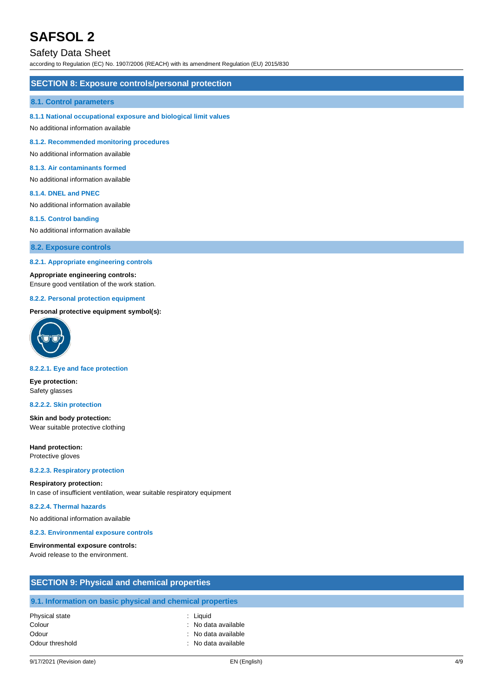## Safety Data Sheet

according to Regulation (EC) No. 1907/2006 (REACH) with its amendment Regulation (EU) 2015/830

### **SECTION 8: Exposure controls/personal protection**

#### **8.1. Control parameters**

#### **8.1.1 National occupational exposure and biological limit values**

No additional information available

**8.1.2. Recommended monitoring procedures**

No additional information available

#### **8.1.3. Air contaminants formed**

No additional information available

#### **8.1.4. DNEL and PNEC**

No additional information available

#### **8.1.5. Control banding**

No additional information available

**8.2. Exposure controls**

#### **8.2.1. Appropriate engineering controls**

#### **Appropriate engineering controls:**

Ensure good ventilation of the work station.

#### **8.2.2. Personal protection equipment**

### **Personal protective equipment symbol(s):**



#### **8.2.2.1. Eye and face protection**

**Eye protection:** Safety glasses

#### **8.2.2.2. Skin protection**

**Skin and body protection:** Wear suitable protective clothing

**Hand protection:** Protective gloves

#### **8.2.2.3. Respiratory protection**

### **Respiratory protection:**

In case of insufficient ventilation, wear suitable respiratory equipment

#### **8.2.2.4. Thermal hazards**

No additional information available

#### **8.2.3. Environmental exposure controls**

#### **Environmental exposure controls:**

Avoid release to the environment.

| <b>SECTION 9: Physical and chemical properties</b> |                                                            |  |  |
|----------------------------------------------------|------------------------------------------------------------|--|--|
|                                                    | 9.1. Information on basic physical and chemical properties |  |  |
| Physical state                                     | : Liguid                                                   |  |  |
| Colour                                             | : No data available                                        |  |  |
| Odour                                              | : No data available                                        |  |  |
| Odour threshold                                    | : No data available                                        |  |  |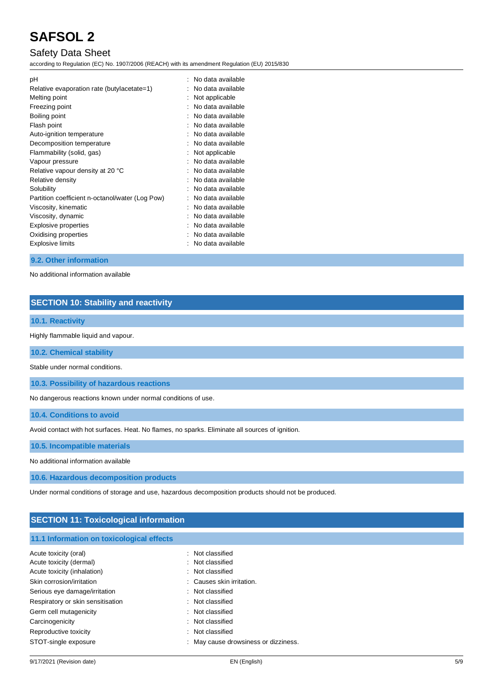## Safety Data Sheet

according to Regulation (EC) No. 1907/2006 (REACH) with its amendment Regulation (EU) 2015/830

| рH                                              | No data available |
|-------------------------------------------------|-------------------|
| Relative evaporation rate (butylacetate=1)      | No data available |
| Melting point                                   | Not applicable    |
| Freezing point                                  | No data available |
| Boiling point                                   | No data available |
| Flash point                                     | No data available |
| Auto-ignition temperature                       | No data available |
| Decomposition temperature                       | No data available |
| Flammability (solid, gas)                       | Not applicable    |
| Vapour pressure                                 | No data available |
| Relative vapour density at 20 °C                | No data available |
| Relative density                                | No data available |
| Solubility                                      | No data available |
| Partition coefficient n-octanol/water (Log Pow) | No data available |
| Viscosity, kinematic                            | No data available |
| Viscosity, dynamic                              | No data available |
| <b>Explosive properties</b>                     | No data available |
| Oxidising properties                            | No data available |
| Explosive limits                                | No data available |
|                                                 |                   |

## **9.2. Other information**

No additional information available

## **SECTION 10: Stability and reactivity**

## **10.1. Reactivity**

Highly flammable liquid and vapour.

**10.2. Chemical stability**

Stable under normal conditions.

**10.3. Possibility of hazardous reactions**

No dangerous reactions known under normal conditions of use.

**10.4. Conditions to avoid**

Avoid contact with hot surfaces. Heat. No flames, no sparks. Eliminate all sources of ignition.

**10.5. Incompatible materials**

No additional information available

**10.6. Hazardous decomposition products**

Under normal conditions of storage and use, hazardous decomposition products should not be produced.

## **SECTION 11: Toxicological information**

## **11.1 Information on toxicological effects**

| Acute toxicity (oral)             | : Not classified                     |
|-----------------------------------|--------------------------------------|
| Acute toxicity (dermal)           | : Not classified                     |
| Acute toxicity (inhalation)       | : Not classified                     |
| Skin corrosion/irritation         | : Causes skin irritation.            |
| Serious eye damage/irritation     | : Not classified                     |
| Respiratory or skin sensitisation | : Not classified                     |
| Germ cell mutagenicity            | : Not classified                     |
| Carcinogenicity                   | : Not classified                     |
| Reproductive toxicity             | : Not classified                     |
| STOT-single exposure              | : May cause drowsiness or dizziness. |
|                                   |                                      |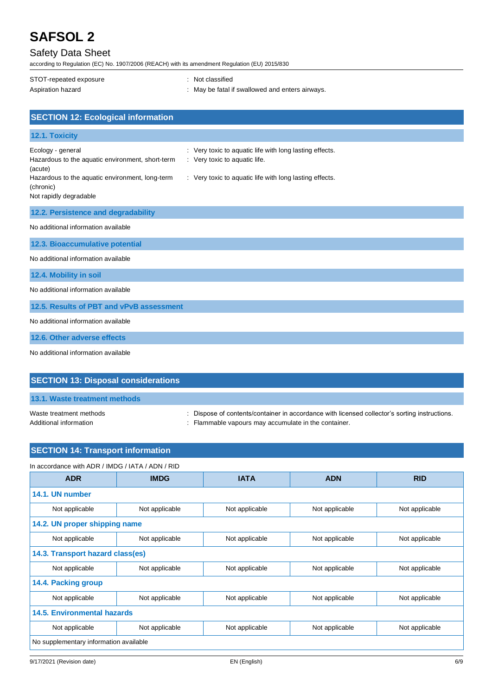## Safety Data Sheet

according to Regulation (EC) No. 1907/2006 (REACH) with its amendment Regulation (EU) 2015/830

| STOT-repeated exposure | : Not classified                                |
|------------------------|-------------------------------------------------|
| Aspiration hazard      | : May be fatal if swallowed and enters airways. |
|                        |                                                 |

| <b>SECTION 12: Ecological information</b>                                                                                                                                  |                                                                                                                                                     |
|----------------------------------------------------------------------------------------------------------------------------------------------------------------------------|-----------------------------------------------------------------------------------------------------------------------------------------------------|
| 12.1. Toxicity                                                                                                                                                             |                                                                                                                                                     |
| Ecology - general<br>Hazardous to the aquatic environment, short-term<br>(acute)<br>Hazardous to the aquatic environment, long-term<br>(chronic)<br>Not rapidly degradable | : Very toxic to aquatic life with long lasting effects.<br>: Very toxic to aquatic life.<br>: Very toxic to aquatic life with long lasting effects. |
| 12.2. Persistence and degradability                                                                                                                                        |                                                                                                                                                     |
| No additional information available                                                                                                                                        |                                                                                                                                                     |
| 12.3. Bioaccumulative potential                                                                                                                                            |                                                                                                                                                     |
| No additional information available                                                                                                                                        |                                                                                                                                                     |
| 12.4. Mobility in soil                                                                                                                                                     |                                                                                                                                                     |
| No additional information available                                                                                                                                        |                                                                                                                                                     |
| 12.5. Results of PBT and vPvB assessment                                                                                                                                   |                                                                                                                                                     |
| No additional information available                                                                                                                                        |                                                                                                                                                     |
| 12.6. Other adverse effects                                                                                                                                                |                                                                                                                                                     |
| No additional information available                                                                                                                                        |                                                                                                                                                     |

| <b>SECTION 13: Disposal considerations</b>        |                                                                                                                                                       |
|---------------------------------------------------|-------------------------------------------------------------------------------------------------------------------------------------------------------|
| 13.1. Waste treatment methods                     |                                                                                                                                                       |
| Waste treatment methods<br>Additional information | : Dispose of contents/container in accordance with licensed collector's sorting instructions.<br>: Flammable vapours may accumulate in the container. |

| <b>SECTION 14: Transport information</b>         |                |                |                |                |
|--------------------------------------------------|----------------|----------------|----------------|----------------|
| In accordance with ADR / IMDG / IATA / ADN / RID |                |                |                |                |
| <b>ADR</b>                                       | <b>IMDG</b>    | <b>IATA</b>    | <b>ADN</b>     | <b>RID</b>     |
| 14.1. UN number                                  |                |                |                |                |
| Not applicable                                   | Not applicable | Not applicable | Not applicable | Not applicable |
| 14.2. UN proper shipping name                    |                |                |                |                |
| Not applicable                                   | Not applicable | Not applicable | Not applicable | Not applicable |
| 14.3. Transport hazard class(es)                 |                |                |                |                |
| Not applicable                                   | Not applicable | Not applicable | Not applicable | Not applicable |
| 14.4. Packing group                              |                |                |                |                |
| Not applicable                                   | Not applicable | Not applicable | Not applicable | Not applicable |
| 14.5. Environmental hazards                      |                |                |                |                |
| Not applicable                                   | Not applicable | Not applicable | Not applicable | Not applicable |
| No supplementary information available           |                |                |                |                |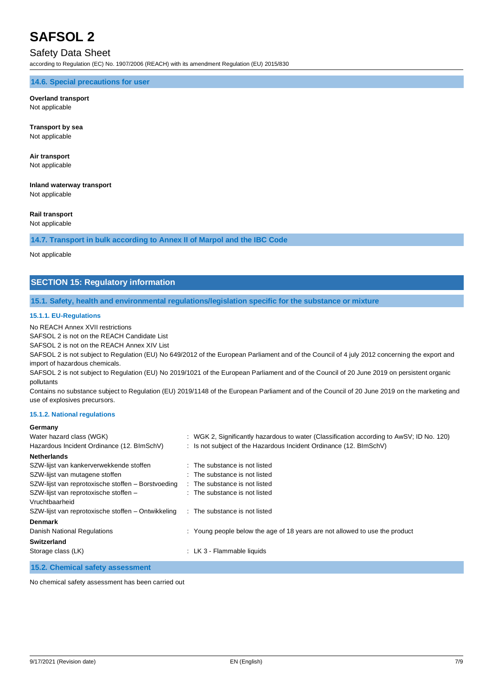## Safety Data Sheet

according to Regulation (EC) No. 1907/2006 (REACH) with its amendment Regulation (EU) 2015/830

### **14.6. Special precautions for user**

#### **Overland transport** Not applicable

**Transport by sea** Not applicable

## **Air transport**

Not applicable

## **Inland waterway transport**

Not applicable

## **Rail transport**

Not applicable

## **14.7. Transport in bulk according to Annex II of Marpol and the IBC Code**

Not applicable

## **SECTION 15: Regulatory information**

### **15.1. Safety, health and environmental regulations/legislation specific for the substance or mixture**

#### **15.1.1. EU-Regulations**

No REACH Annex XVII restrictions

SAFSOL 2 is not on the REACH Candidate List

SAFSOL 2 is not on the REACH Annex XIV List

SAFSOL 2 is not subject to Regulation (EU) No 649/2012 of the European Parliament and of the Council of 4 july 2012 concerning the export and import of hazardous chemicals.

SAFSOL 2 is not subject to Regulation (EU) No 2019/1021 of the European Parliament and of the Council of 20 June 2019 on persistent organic pollutants

Contains no substance subject to Regulation (EU) 2019/1148 of the European Parliament and of the Council of 20 June 2019 on the marketing and use of explosives precursors.

#### **15.1.2. National regulations**

### **Germany**

| Water hazard class (WGK)                           | : WGK 2, Significantly hazardous to water (Classification according to AwSV; ID No. 120) |
|----------------------------------------------------|------------------------------------------------------------------------------------------|
| Hazardous Incident Ordinance (12. BImSchV)         | : Is not subject of the Hazardous Incident Ordinance $(12. \text{BlmSchV})$              |
| <b>Netherlands</b>                                 |                                                                                          |
| SZW-lijst van kankerverwekkende stoffen            | : The substance is not listed                                                            |
| SZW-lijst van mutagene stoffen                     | : The substance is not listed                                                            |
| SZW-lijst van reprotoxische stoffen – Borstvoeding | : The substance is not listed                                                            |
| SZW-lijst van reprotoxische stoffen -              | : The substance is not listed                                                            |
| Vruchtbaarheid                                     |                                                                                          |
| SZW-lijst van reprotoxische stoffen – Ontwikkeling | : The substance is not listed                                                            |
| <b>Denmark</b>                                     |                                                                                          |
| <b>Danish National Regulations</b>                 | : Young people below the age of 18 years are not allowed to use the product              |
| <b>Switzerland</b>                                 |                                                                                          |
| Storage class (LK)                                 | : LK 3 - Flammable liquids                                                               |
|                                                    |                                                                                          |

## **15.2. Chemical safety assessment**

No chemical safety assessment has been carried out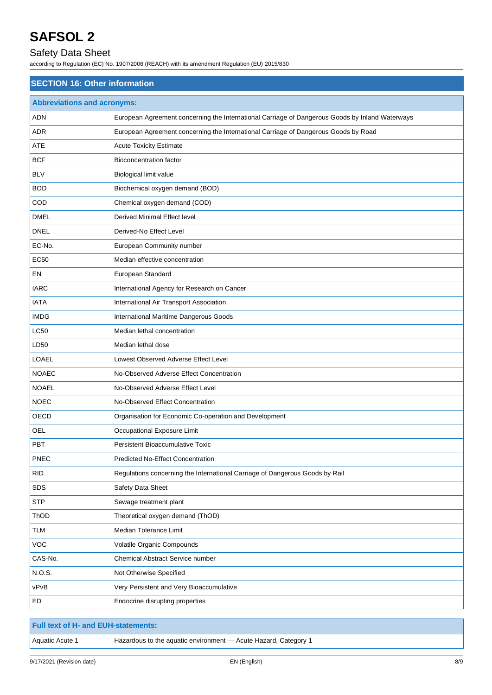## Safety Data Sheet

according to Regulation (EC) No. 1907/2006 (REACH) with its amendment Regulation (EU) 2015/830

| <b>SECTION 16: Other information</b> |                                                                                                 |  |  |  |
|--------------------------------------|-------------------------------------------------------------------------------------------------|--|--|--|
| <b>Abbreviations and acronyms:</b>   |                                                                                                 |  |  |  |
| <b>ADN</b>                           | European Agreement concerning the International Carriage of Dangerous Goods by Inland Waterways |  |  |  |
| ADR                                  | European Agreement concerning the International Carriage of Dangerous Goods by Road             |  |  |  |
| <b>ATE</b>                           | <b>Acute Toxicity Estimate</b>                                                                  |  |  |  |
| <b>BCF</b>                           | <b>Bioconcentration factor</b>                                                                  |  |  |  |
| <b>BLV</b>                           | Biological limit value                                                                          |  |  |  |
| <b>BOD</b>                           | Biochemical oxygen demand (BOD)                                                                 |  |  |  |
| COD                                  | Chemical oxygen demand (COD)                                                                    |  |  |  |
| <b>DMEL</b>                          | Derived Minimal Effect level                                                                    |  |  |  |
| <b>DNEL</b>                          | Derived-No Effect Level                                                                         |  |  |  |
| EC-No.                               | European Community number                                                                       |  |  |  |
| <b>EC50</b>                          | Median effective concentration                                                                  |  |  |  |
| EN                                   | European Standard                                                                               |  |  |  |
| <b>IARC</b>                          | International Agency for Research on Cancer                                                     |  |  |  |
| <b>IATA</b>                          | International Air Transport Association                                                         |  |  |  |
| <b>IMDG</b>                          | International Maritime Dangerous Goods                                                          |  |  |  |
| <b>LC50</b>                          | Median lethal concentration                                                                     |  |  |  |
| LD50                                 | Median lethal dose                                                                              |  |  |  |
| <b>LOAEL</b>                         | Lowest Observed Adverse Effect Level                                                            |  |  |  |
| <b>NOAEC</b>                         | No-Observed Adverse Effect Concentration                                                        |  |  |  |
| <b>NOAEL</b>                         | No-Observed Adverse Effect Level                                                                |  |  |  |
| <b>NOEC</b>                          | No-Observed Effect Concentration                                                                |  |  |  |
| OECD                                 | Organisation for Economic Co-operation and Development                                          |  |  |  |
| OEL                                  | Occupational Exposure Limit                                                                     |  |  |  |
| <b>PBT</b>                           | Persistent Bioaccumulative Toxic                                                                |  |  |  |
| <b>PNEC</b>                          | Predicted No-Effect Concentration                                                               |  |  |  |
| <b>RID</b>                           | Regulations concerning the International Carriage of Dangerous Goods by Rail                    |  |  |  |
| SDS                                  | Safety Data Sheet                                                                               |  |  |  |
| <b>STP</b>                           | Sewage treatment plant                                                                          |  |  |  |
| ThOD                                 | Theoretical oxygen demand (ThOD)                                                                |  |  |  |
| <b>TLM</b>                           | Median Tolerance Limit                                                                          |  |  |  |
| <b>VOC</b>                           | Volatile Organic Compounds                                                                      |  |  |  |
| CAS-No.                              | Chemical Abstract Service number                                                                |  |  |  |
| N.O.S.                               | Not Otherwise Specified                                                                         |  |  |  |
| vPvB                                 | Very Persistent and Very Bioaccumulative                                                        |  |  |  |
| ED                                   | Endocrine disrupting properties                                                                 |  |  |  |

| <b>Full text of H- and EUH-statements:</b> |                                                                 |
|--------------------------------------------|-----------------------------------------------------------------|
| Aquatic Acute 1                            | Hazardous to the aquatic environment - Acute Hazard, Category 1 |